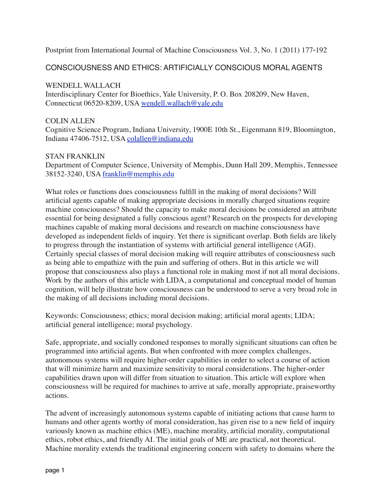Postprint from International Journal of Machine Consciousness Vol. 3, No. 1 (2011) 177-192

## CONSCIOUSNESS AND ETHICS: ARTIFICIALLY CONSCIOUS MORAL AGENTS

#### WENDELL WALLACH

Interdisciplinary Center for Bioethics, Yale University, P. O. Box 208209, New Haven, Connecticut 06520-8209, USA wendell.wallach@yale.edu

#### COLIN ALLEN

Cognitive Science Program, Indiana University, 1900E 10th St., Eigenmann 819, Bloomington, Indiana 47406-7512, USA colallen@indiana.edu

#### STAN FRANKLIN

Department of Computer Science, University of Memphis, Dunn Hall 209, Memphis, Tennessee 38152-3240, USA franklin@memphis.edu

What roles or functions does consciousness fulfill in the making of moral decisions? Will artificial agents capable of making appropriate decisions in morally charged situations require machine consciousness? Should the capacity to make moral decisions be considered an attribute essential for being designated a fully conscious agent? Research on the prospects for developing machines capable of making moral decisions and research on machine consciousness have developed as independent fields of inquiry. Yet there is significant overlap. Both fields are likely to progress through the instantiation of systems with artificial general intelligence (AGI). Certainly special classes of moral decision making will require attributes of consciousness such as being able to empathize with the pain and suffering of others. But in this article we will propose that consciousness also plays a functional role in making most if not all moral decisions. Work by the authors of this article with LIDA, a computational and conceptual model of human cognition, will help illustrate how consciousness can be understood to serve a very broad role in the making of all decisions including moral decisions.

Keywords: Consciousness; ethics; moral decision making; artificial moral agents; LIDA; artificial general intelligence; moral psychology.

Safe, appropriate, and socially condoned responses to morally significant situations can often be programmed into artificial agents. But when confronted with more complex challenges, autonomous systems will require higher-order capabilities in order to select a course of action that will minimize harm and maximize sensitivity to moral considerations. The higher-order capabilities drawn upon will differ from situation to situation. This article will explore when consciousness will be required for machines to arrive at safe, morally appropriate, praiseworthy actions.

The advent of increasingly autonomous systems capable of initiating actions that cause harm to humans and other agents worthy of moral consideration, has given rise to a new field of inquiry variously known as machine ethics (ME), machine morality, artificial morality, computational ethics, robot ethics, and friendly AI. The initial goals of ME are practical, not theoretical. Machine morality extends the traditional engineering concern with safety to domains where the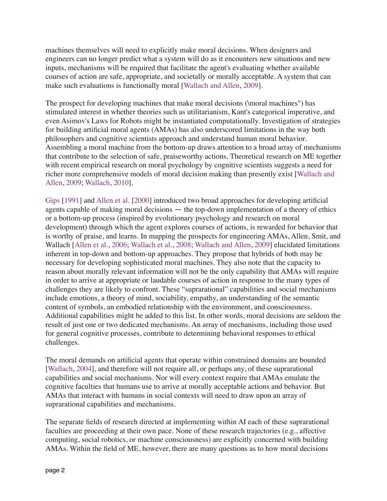machines themselves will need to explicitly make moral decisions. When designers and engineers can no longer predict what a system will do as it encounters new situations and new inputs, mechanisms will be required that facilitate the agent's evaluating whether available courses of action are safe, appropriate, and societally or morally acceptable. A system that can make such evaluations is functionally moral [Wallach and Allen, 2009].

The prospect for developing machines that make moral decisions (\moral machines") has stimulated interest in whether theories such as utilitarianism, Kant's categorical imperative, and even Asimov's Laws for Robots might be instantiated computationally. Investigation of strategies for building artificial moral agents (AMAs) has also underscored limitations in the way both philosophers and cognitive scientists approach and understand human moral behavior. Assembling a moral machine from the bottom-up draws attention to a broad array of mechanisms that contribute to the selection of safe, praiseworthy actions. Theoretical research on ME together with recent empirical research on moral psychology by cognitive scientists suggests a need for richer more comprehensive models of moral decision making than presently exist [Wallach and Allen, 2009; Wallach, 2010].

Gips [1991] and Allen et al. [2000] introduced two broad approaches for developing artificial agents capable of making moral decisions — the top-down implementation of a theory of ethics or a bottom-up process (inspired by evolutionary psychology and research on moral development) through which the agent explores courses of actions, is rewarded for behavior that is worthy of praise, and learns. In mapping the prospects for engineering AMAs, Allen, Smit, and Wallach [Allen et al., 2006; Wallach et al., 2008; Wallach and Allen, 2009] elucidated limitations inherent in top-down and bottom-up approaches. They propose that hybrids of both may be necessary for developing sophisticated moral machines. They also note that the capacity to reason about morally relevant information will not be the only capability that AMAs will require in order to arrive at appropriate or laudable courses of action in response to the many types of challenges they are likely to confront. These "suprarational" capabilities and social mechanisms include emotions, a theory of mind, sociability, empathy, an understanding of the semantic content of symbols, an embodied relationship with the environment, and consciousness. Additional capabilities might be added to this list. In other words, moral decisions are seldom the result of just one or two dedicated mechanisms. An array of mechanisms, including those used for general cognitive processes, contribute to determining behavioral responses to ethical challenges.

The moral demands on artificial agents that operate within constrained domains are bounded [Wallach, 2004], and therefore will not require all, or perhaps any, of these suprarational capabilities and social mechanisms. Nor will every context require that AMAs emulate the cognitive faculties that humans use to arrive at morally acceptable actions and behavior. But AMAs that interact with humans in social contexts will need to draw upon an array of suprarational capabilities and mechanisms.

The separate fields of research directed at implementing within AI each of these suprarational faculties are proceeding at their own pace. None of these research trajectories (e.g., affective computing, social robotics, or machine consciousness) are explicitly concerned with building AMAs. Within the field of ME, however, there are many questions as to how moral decisions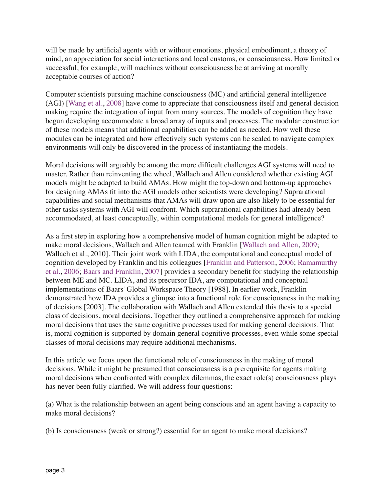will be made by artificial agents with or without emotions, physical embodiment, a theory of mind, an appreciation for social interactions and local customs, or consciousness. How limited or successful, for example, will machines without consciousness be at arriving at morally acceptable courses of action?

Computer scientists pursuing machine consciousness (MC) and artificial general intelligence (AGI) [Wang et al., 2008] have come to appreciate that consciousness itself and general decision making require the integration of input from many sources. The models of cognition they have begun developing accommodate a broad array of inputs and processes. The modular construction of these models means that additional capabilities can be added as needed. How well these modules can be integrated and how effectively such systems can be scaled to navigate complex environments will only be discovered in the process of instantiating the models.

Moral decisions will arguably be among the more difficult challenges AGI systems will need to master. Rather than reinventing the wheel, Wallach and Allen considered whether existing AGI models might be adapted to build AMAs. How might the top-down and bottom-up approaches for designing AMAs fit into the AGI models other scientists were developing? Suprarational capabilities and social mechanisms that AMAs will draw upon are also likely to be essential for other tasks systems with AGI will confront. Which suprarational capabilities had already been accommodated, at least conceptually, within computational models for general intelligence?

As a first step in exploring how a comprehensive model of human cognition might be adapted to make moral decisions, Wallach and Allen teamed with Franklin [Wallach and Allen, 2009; Wallach et al., 2010]. Their joint work with LIDA, the computational and conceptual model of cognition developed by Franklin and his colleagues [Franklin and Patterson, 2006; Ramamurthy et al., 2006; Baars and Franklin, 2007] provides a secondary benefit for studying the relationship between ME and MC. LIDA, and its precursor IDA, are computational and conceptual implementations of Baars' Global Workspace Theory [1988]. In earlier work, Franklin demonstrated how IDA provides a glimpse into a functional role for consciousness in the making of decisions [2003]. The collaboration with Wallach and Allen extended this thesis to a special class of decisions, moral decisions. Together they outlined a comprehensive approach for making moral decisions that uses the same cognitive processes used for making general decisions. That is, moral cognition is supported by domain general cognitive processes, even while some special classes of moral decisions may require additional mechanisms.

In this article we focus upon the functional role of consciousness in the making of moral decisions. While it might be presumed that consciousness is a prerequisite for agents making moral decisions when confronted with complex dilemmas, the exact role(s) consciousness plays has never been fully clarified. We will address four questions:

(a) What is the relationship between an agent being conscious and an agent having a capacity to make moral decisions?

(b) Is consciousness (weak or strong?) essential for an agent to make moral decisions?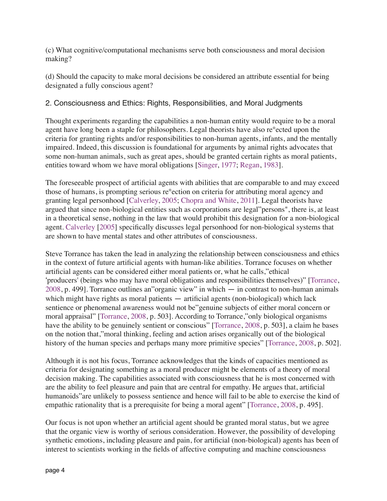(c) What cognitive/computational mechanisms serve both consciousness and moral decision making?

(d) Should the capacity to make moral decisions be considered an attribute essential for being designated a fully conscious agent?

# 2. Consciousness and Ethics: Rights, Responsibilities, and Moral Judgments

Thought experiments regarding the capabilities a non-human entity would require to be a moral agent have long been a staple for philosophers. Legal theorists have also re°ected upon the criteria for granting rights and/or responsibilities to non-human agents, infants, and the mentally impaired. Indeed, this discussion is foundational for arguments by animal rights advocates that some non-human animals, such as great apes, should be granted certain rights as moral patients, entities toward whom we have moral obligations [Singer, 1977; Regan, 1983].

The foreseeable prospect of artificial agents with abilities that are comparable to and may exceed those of humans, is prompting serious re°ection on criteria for attributing moral agency and granting legal personhood [Calverley, 2005; Chopra and White, 2011]. Legal theorists have argued that since non-biological entities such as corporations are legal"persons", there is, at least in a theoretical sense, nothing in the law that would prohibit this designation for a non-biological agent. Calverley [2005] specifically discusses legal personhood for non-biological systems that are shown to have mental states and other attributes of consciousness.

Steve Torrance has taken the lead in analyzing the relationship between consciousness and ethics in the context of future artificial agents with human-like abilities. Torrance focuses on whether artificial agents can be considered either moral patients or, what he calls,"ethical ʻproducers' (beings who may have moral obligations and responsibilities themselves)" [Torrance, 2008, p. 499]. Torrance outlines an"organic view" in which — in contrast to non-human animals which might have rights as moral patients — artificial agents (non-biological) which lack sentience or phenomenal awareness would not be"genuine subjects of either moral concern or moral appraisal" [Torrance, 2008, p. 503]. According to Torrance,"only biological organisms have the ability to be genuinely sentient or conscious" [Torrance, 2008, p. 503], a claim he bases on the notion that,"moral thinking, feeling and action arises organically out of the biological history of the human species and perhaps many more primitive species" [Torrance, 2008, p. 502].

Although it is not his focus, Torrance acknowledges that the kinds of capacities mentioned as criteria for designating something as a moral producer might be elements of a theory of moral decision making. The capabilities associated with consciousness that he is most concerned with are the ability to feel pleasure and pain that are central for empathy. He argues that, artificial humanoids"are unlikely to possess sentience and hence will fail to be able to exercise the kind of empathic rationality that is a prerequisite for being a moral agent" [Torrance, 2008, p. 495].

Our focus is not upon whether an artificial agent should be granted moral status, but we agree that the organic view is worthy of serious consideration. However, the possibility of developing synthetic emotions, including pleasure and pain, for artificial (non-biological) agents has been of interest to scientists working in the fields of affective computing and machine consciousness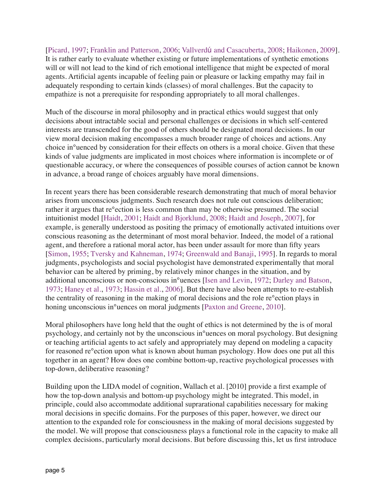[Picard, 1997; Franklin and Patterson, 2006; Vallverdú and Casacuberta, 2008; Haikonen, 2009]. It is rather early to evaluate whether existing or future implementations of synthetic emotions will or will not lead to the kind of rich emotional intelligence that might be expected of moral agents. Artificial agents incapable of feeling pain or pleasure or lacking empathy may fail in adequately responding to certain kinds (classes) of moral challenges. But the capacity to empathize is not a prerequisite for responding appropriately to all moral challenges.

Much of the discourse in moral philosophy and in practical ethics would suggest that only decisions about intractable social and personal challenges or decisions in which self-centered interests are transcended for the good of others should be designated moral decisions. In our view moral decision making encompasses a much broader range of choices and actions. Any choice in°uenced by consideration for their effects on others is a moral choice. Given that these kinds of value judgments are implicated in most choices where information is incomplete or of questionable accuracy, or where the consequences of possible courses of action cannot be known in advance, a broad range of choices arguably have moral dimensions.

In recent years there has been considerable research demonstrating that much of moral behavior arises from unconscious judgments. Such research does not rule out conscious deliberation; rather it argues that re°ection is less common than may be otherwise presumed. The social intuitionist model [Haidt, 2001; Haidt and Bjorklund, 2008; Haidt and Joseph, 2007], for example, is generally understood as positing the primacy of emotionally activated intuitions over conscious reasoning as the determinant of most moral behavior. Indeed, the model of a rational agent, and therefore a rational moral actor, has been under assault for more than fifty years [Simon, 1955; Tversky and Kahneman, 1974; Greenwald and Banaji, 1995]. In regards to moral judgments, psychologists and social psychologist have demonstrated experimentally that moral behavior can be altered by priming, by relatively minor changes in the situation, and by additional unconscious or non-conscious in°uences [Isen and Levin, 1972; Darley and Batson, 1973; Haney et al., 1973; Hassin et al., 2006]. But there have also been attempts to re-establish the centrality of reasoning in the making of moral decisions and the role re°ection plays in honing unconscious in°uences on moral judgments [Paxton and Greene, 2010].

Moral philosophers have long held that the ought of ethics is not determined by the is of moral psychology, and certainly not by the unconscious in°uences on moral psychology. But designing or teaching artificial agents to act safely and appropriately may depend on modeling a capacity for reasoned re°ection upon what is known about human psychology. How does one put all this together in an agent? How does one combine bottom-up, reactive psychological processes with top-down, deliberative reasoning?

Building upon the LIDA model of cognition, Wallach et al. [2010] provide a first example of how the top-down analysis and bottom-up psychology might be integrated. This model, in principle, could also accommodate additional suprarational capabilities necessary for making moral decisions in specific domains. For the purposes of this paper, however, we direct our attention to the expanded role for consciousness in the making of moral decisions suggested by the model. We will propose that consciousness plays a functional role in the capacity to make all complex decisions, particularly moral decisions. But before discussing this, let us first introduce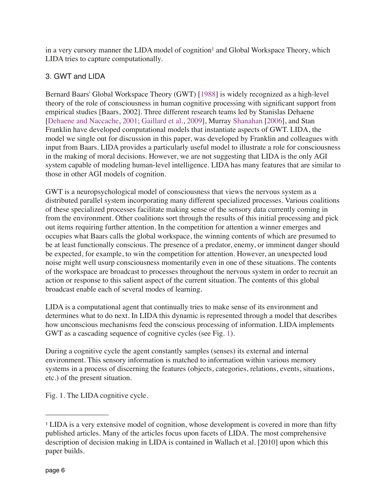in a very cursory manner the LIDA model of cognition<sup>1</sup> and Global Workspace Theory, which LIDA tries to capture computationally.

# 3. GWT and LIDA

Bernard Baars' Global Workspace Theory (GWT) [1988] is widely recognized as a high-level theory of the role of consciousness in human cognitive processing with significant support from empirical studies [Baars, 2002]. Three different research teams led by Stanislas Dehaene [Dehaene and Naccache, 2001; Gaillard et al., 2009], Murray Shanahan [2006], and Stan Franklin have developed computational models that instantiate aspects of GWT. LIDA, the model we single out for discussion in this paper, was developed by Franklin and colleagues with input from Baars. LIDA provides a particularly useful model to illustrate a role for consciousness in the making of moral decisions. However, we are not suggesting that LIDA is the only AGI system capable of modeling human-level intelligence. LIDA has many features that are similar to those in other AGI models of cognition.

GWT is a neuropsychological model of consciousness that views the nervous system as a distributed parallel system incorporating many different specialized processes. Various coalitions of these specialized processes facilitate making sense of the sensory data currently coming in from the environment. Other coalitions sort through the results of this initial processing and pick out items requiring further attention. In the competition for attention a winner emerges and occupies what Baars calls the global workspace, the winning contents of which are presumed to be at least functionally conscious. The presence of a predator, enemy, or imminent danger should be expected, for example, to win the competition for attention. However, an unexpected loud noise might well usurp consciousness momentarily even in one of these situations. The contents of the workspace are broadcast to processes throughout the nervous system in order to recruit an action or response to this salient aspect of the current situation. The contents of this global broadcast enable each of several modes of learning.

LIDA is a computational agent that continually tries to make sense of its environment and determines what to do next. In LIDA this dynamic is represented through a model that describes how unconscious mechanisms feed the conscious processing of information. LIDA implements GWT as a cascading sequence of cognitive cycles (see Fig. 1).

During a cognitive cycle the agent constantly samples (senses) its external and internal environment. This sensory information is matched to information within various memory systems in a process of discerning the features (objects, categories, relations, events, situations, etc.) of the present situation.

Fig. 1. The LIDA cognitive cycle.

<sup>1</sup> LIDA is a very extensive model of cognition, whose development is covered in more than fifty published articles. Many of the articles focus upon facets of LIDA. The most comprehensive description of decision making in LIDA is contained in Wallach et al. [2010] upon which this paper builds.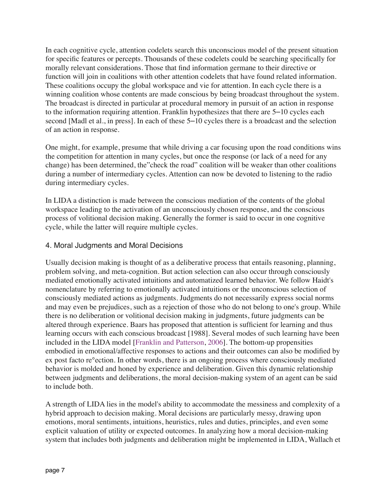In each cognitive cycle, attention codelets search this unconscious model of the present situation for specific features or percepts. Thousands of these codelets could be searching specifically for morally relevant considerations. Those that find information germane to their directive or function will join in coalitions with other attention codelets that have found related information. These coalitions occupy the global workspace and vie for attention. In each cycle there is a winning coalition whose contents are made conscious by being broadcast throughout the system. The broadcast is directed in particular at procedural memory in pursuit of an action in response to the information requiring attention. Franklin hypothesizes that there are 5–10 cycles each second [Madl et al., in press]. In each of these 5–10 cycles there is a broadcast and the selection of an action in response.

One might, for example, presume that while driving a car focusing upon the road conditions wins the competition for attention in many cycles, but once the response (or lack of a need for any change) has been determined, the"check the road" coalition will be weaker than other coalitions during a number of intermediary cycles. Attention can now be devoted to listening to the radio during intermediary cycles.

In LIDA a distinction is made between the conscious mediation of the contents of the global workspace leading to the activation of an unconsciously chosen response, and the conscious process of volitional decision making. Generally the former is said to occur in one cognitive cycle, while the latter will require multiple cycles.

#### 4. Moral Judgments and Moral Decisions

Usually decision making is thought of as a deliberative process that entails reasoning, planning, problem solving, and meta-cognition. But action selection can also occur through consciously mediated emotionally activated intuitions and automatized learned behavior. We follow Haidt's nomenclature by referring to emotionally activated intuitions or the unconscious selection of consciously mediated actions as judgments. Judgments do not necessarily express social norms and may even be prejudices, such as a rejection of those who do not belong to one's group. While there is no deliberation or volitional decision making in judgments, future judgments can be altered through experience. Baars has proposed that attention is sufficient for learning and thus learning occurs with each conscious broadcast [1988]. Several modes of such learning have been included in the LIDA model [Franklin and Patterson, 2006]. The bottom-up propensities embodied in emotional/affective responses to actions and their outcomes can also be modified by ex post facto re°ection. In other words, there is an ongoing process where consciously mediated behavior is molded and honed by experience and deliberation. Given this dynamic relationship between judgments and deliberations, the moral decision-making system of an agent can be said to include both.

A strength of LIDA lies in the model's ability to accommodate the messiness and complexity of a hybrid approach to decision making. Moral decisions are particularly messy, drawing upon emotions, moral sentiments, intuitions, heuristics, rules and duties, principles, and even some explicit valuation of utility or expected outcomes. In analyzing how a moral decision-making system that includes both judgments and deliberation might be implemented in LIDA, Wallach et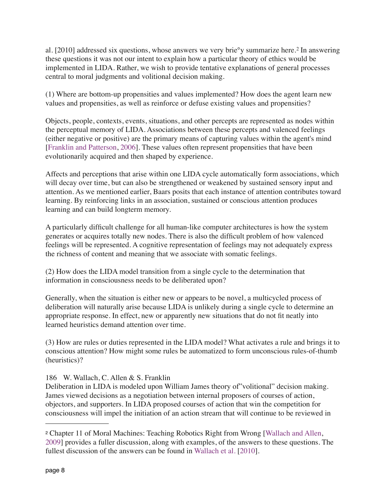al. [2010] addressed six questions, whose answers we very brie°y summarize here.<sup>2</sup> In answering these questions it was not our intent to explain how a particular theory of ethics would be implemented in LIDA. Rather, we wish to provide tentative explanations of general processes central to moral judgments and volitional decision making.

(1) Where are bottom-up propensities and values implemented? How does the agent learn new values and propensities, as well as reinforce or defuse existing values and propensities?

Objects, people, contexts, events, situations, and other percepts are represented as nodes within the perceptual memory of LIDA. Associations between these percepts and valenced feelings (either negative or positive) are the primary means of capturing values within the agent's mind [Franklin and Patterson, 2006]. These values often represent propensities that have been evolutionarily acquired and then shaped by experience.

Affects and perceptions that arise within one LIDA cycle automatically form associations, which will decay over time, but can also be strengthened or weakened by sustained sensory input and attention. As we mentioned earlier, Baars posits that each instance of attention contributes toward learning. By reinforcing links in an association, sustained or conscious attention produces learning and can build longterm memory.

A particularly difficult challenge for all human-like computer architectures is how the system generates or acquires totally new nodes. There is also the difficult problem of how valenced feelings will be represented. A cognitive representation of feelings may not adequately express the richness of content and meaning that we associate with somatic feelings.

(2) How does the LIDA model transition from a single cycle to the determination that information in consciousness needs to be deliberated upon?

Generally, when the situation is either new or appears to be novel, a multicycled process of deliberation will naturally arise because LIDA is unlikely during a single cycle to determine an appropriate response. In effect, new or apparently new situations that do not fit neatly into learned heuristics demand attention over time.

(3) How are rules or duties represented in the LIDA model? What activates a rule and brings it to conscious attention? How might some rules be automatized to form unconscious rules-of-thumb (heuristics)?

# 186 W. Wallach, C. Allen & S. Franklin

Deliberation in LIDA is modeled upon William James theory of"volitional" decision making. James viewed decisions as a negotiation between internal proposers of courses of action, objectors, and supporters. In LIDA proposed courses of action that win the competition for consciousness will impel the initiation of an action stream that will continue to be reviewed in

<sup>2</sup> Chapter 11 of Moral Machines: Teaching Robotics Right from Wrong [Wallach and Allen, 2009] provides a fuller discussion, along with examples, of the answers to these questions. The fullest discussion of the answers can be found in Wallach et al. [2010].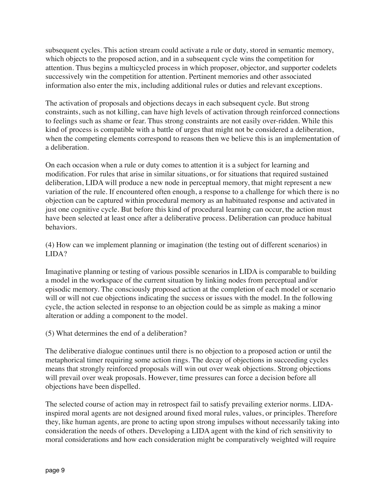subsequent cycles. This action stream could activate a rule or duty, stored in semantic memory, which objects to the proposed action, and in a subsequent cycle wins the competition for attention. Thus begins a multicycled process in which proposer, objector, and supporter codelets successively win the competition for attention. Pertinent memories and other associated information also enter the mix, including additional rules or duties and relevant exceptions.

The activation of proposals and objections decays in each subsequent cycle. But strong constraints, such as not killing, can have high levels of activation through reinforced connections to feelings such as shame or fear. Thus strong constraints are not easily over-ridden. While this kind of process is compatible with a battle of urges that might not be considered a deliberation, when the competing elements correspond to reasons then we believe this is an implementation of a deliberation.

On each occasion when a rule or duty comes to attention it is a subject for learning and modification. For rules that arise in similar situations, or for situations that required sustained deliberation, LIDA will produce a new node in perceptual memory, that might represent a new variation of the rule. If encountered often enough, a response to a challenge for which there is no objection can be captured within procedural memory as an habituated response and activated in just one cognitive cycle. But before this kind of procedural learning can occur, the action must have been selected at least once after a deliberative process. Deliberation can produce habitual behaviors.

(4) How can we implement planning or imagination (the testing out of different scenarios) in LIDA?

Imaginative planning or testing of various possible scenarios in LIDA is comparable to building a model in the workspace of the current situation by linking nodes from perceptual and/or episodic memory. The consciously proposed action at the completion of each model or scenario will or will not cue objections indicating the success or issues with the model. In the following cycle, the action selected in response to an objection could be as simple as making a minor alteration or adding a component to the model.

(5) What determines the end of a deliberation?

The deliberative dialogue continues until there is no objection to a proposed action or until the metaphorical timer requiring some action rings. The decay of objections in succeeding cycles means that strongly reinforced proposals will win out over weak objections. Strong objections will prevail over weak proposals. However, time pressures can force a decision before all objections have been dispelled.

The selected course of action may in retrospect fail to satisfy prevailing exterior norms. LIDAinspired moral agents are not designed around fixed moral rules, values, or principles. Therefore they, like human agents, are prone to acting upon strong impulses without necessarily taking into consideration the needs of others. Developing a LIDA agent with the kind of rich sensitivity to moral considerations and how each consideration might be comparatively weighted will require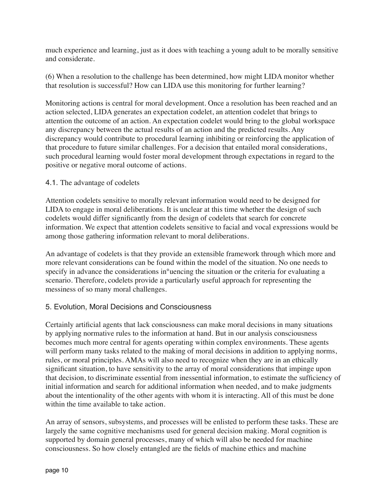much experience and learning, just as it does with teaching a young adult to be morally sensitive and considerate.

(6) When a resolution to the challenge has been determined, how might LIDA monitor whether that resolution is successful? How can LIDA use this monitoring for further learning?

Monitoring actions is central for moral development. Once a resolution has been reached and an action selected, LIDA generates an expectation codelet, an attention codelet that brings to attention the outcome of an action. An expectation codelet would bring to the global workspace any discrepancy between the actual results of an action and the predicted results. Any discrepancy would contribute to procedural learning inhibiting or reinforcing the application of that procedure to future similar challenges. For a decision that entailed moral considerations, such procedural learning would foster moral development through expectations in regard to the positive or negative moral outcome of actions.

#### 4.1. The advantage of codelets

Attention codelets sensitive to morally relevant information would need to be designed for LIDA to engage in moral deliberations. It is unclear at this time whether the design of such codelets would differ significantly from the design of codelets that search for concrete information. We expect that attention codelets sensitive to facial and vocal expressions would be among those gathering information relevant to moral deliberations.

An advantage of codelets is that they provide an extensible framework through which more and more relevant considerations can be found within the model of the situation. No one needs to specify in advance the considerations in°uencing the situation or the criteria for evaluating a scenario. Therefore, codelets provide a particularly useful approach for representing the messiness of so many moral challenges.

## 5. Evolution, Moral Decisions and Consciousness

Certainly artificial agents that lack consciousness can make moral decisions in many situations by applying normative rules to the information at hand. But in our analysis consciousness becomes much more central for agents operating within complex environments. These agents will perform many tasks related to the making of moral decisions in addition to applying norms, rules, or moral principles. AMAs will also need to recognize when they are in an ethically significant situation, to have sensitivity to the array of moral considerations that impinge upon that decision, to discriminate essential from inessential information, to estimate the sufficiency of initial information and search for additional information when needed, and to make judgments about the intentionality of the other agents with whom it is interacting. All of this must be done within the time available to take action.

An array of sensors, subsystems, and processes will be enlisted to perform these tasks. These are largely the same cognitive mechanisms used for general decision making. Moral cognition is supported by domain general processes, many of which will also be needed for machine consciousness. So how closely entangled are the fields of machine ethics and machine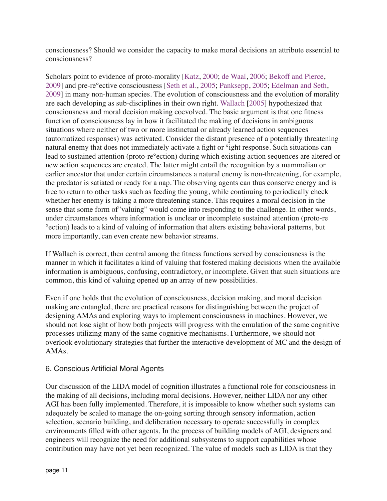consciousness? Should we consider the capacity to make moral decisions an attribute essential to consciousness?

Scholars point to evidence of proto-morality [Katz, 2000; de Waal, 2006; Bekoff and Pierce, 2009] and pre-re°ective consciousness [Seth et al., 2005; Panksepp, 2005; Edelman and Seth, 2009] in many non-human species. The evolution of consciousness and the evolution of morality are each developing as sub-disciplines in their own right. Wallach [2005] hypothesized that consciousness and moral decision making coevolved. The basic argument is that one fitness function of consciousness lay in how it facilitated the making of decisions in ambiguous situations where neither of two or more instinctual or already learned action sequences (automatized responses) was activated. Consider the distant presence of a potentially threatening natural enemy that does not immediately activate a fight or °ight response. Such situations can lead to sustained attention (proto-re°ection) during which existing action sequences are altered or new action sequences are created. The latter might entail the recognition by a mammalian or earlier ancestor that under certain circumstances a natural enemy is non-threatening, for example, the predator is satiated or ready for a nap. The observing agents can thus conserve energy and is free to return to other tasks such as feeding the young, while continuing to periodically check whether her enemy is taking a more threatening stance. This requires a moral decision in the sense that some form of"valuing" would come into responding to the challenge. In other words, under circumstances where information is unclear or incomplete sustained attention (proto-re °ection) leads to a kind of valuing of information that alters existing behavioral patterns, but more importantly, can even create new behavior streams.

If Wallach is correct, then central among the fitness functions served by consciousness is the manner in which it facilitates a kind of valuing that fostered making decisions when the available information is ambiguous, confusing, contradictory, or incomplete. Given that such situations are common, this kind of valuing opened up an array of new possibilities.

Even if one holds that the evolution of consciousness, decision making, and moral decision making are entangled, there are practical reasons for distinguishing between the project of designing AMAs and exploring ways to implement consciousness in machines. However, we should not lose sight of how both projects will progress with the emulation of the same cognitive processes utilizing many of the same cognitive mechanisms. Furthermore, we should not overlook evolutionary strategies that further the interactive development of MC and the design of AMAs.

## 6. Conscious Artificial Moral Agents

Our discussion of the LIDA model of cognition illustrates a functional role for consciousness in the making of all decisions, including moral decisions. However, neither LIDA nor any other AGI has been fully implemented. Therefore, it is impossible to know whether such systems can adequately be scaled to manage the on-going sorting through sensory information, action selection, scenario building, and deliberation necessary to operate successfully in complex environments filled with other agents. In the process of building models of AGI, designers and engineers will recognize the need for additional subsystems to support capabilities whose contribution may have not yet been recognized. The value of models such as LIDA is that they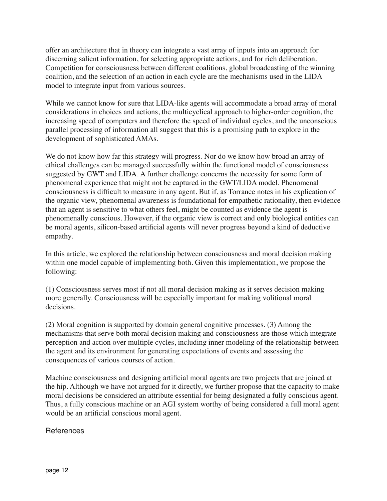offer an architecture that in theory can integrate a vast array of inputs into an approach for discerning salient information, for selecting appropriate actions, and for rich deliberation. Competition for consciousness between different coalitions, global broadcasting of the winning coalition, and the selection of an action in each cycle are the mechanisms used in the LIDA model to integrate input from various sources.

While we cannot know for sure that LIDA-like agents will accommodate a broad array of moral considerations in choices and actions, the multicyclical approach to higher-order cognition, the increasing speed of computers and therefore the speed of individual cycles, and the unconscious parallel processing of information all suggest that this is a promising path to explore in the development of sophisticated AMAs.

We do not know how far this strategy will progress. Nor do we know how broad an array of ethical challenges can be managed successfully within the functional model of consciousness suggested by GWT and LIDA. A further challenge concerns the necessity for some form of phenomenal experience that might not be captured in the GWT/LIDA model. Phenomenal consciousness is difficult to measure in any agent. But if, as Torrance notes in his explication of the organic view, phenomenal awareness is foundational for empathetic rationality, then evidence that an agent is sensitive to what others feel, might be counted as evidence the agent is phenomenally conscious. However, if the organic view is correct and only biological entities can be moral agents, silicon-based artificial agents will never progress beyond a kind of deductive empathy.

In this article, we explored the relationship between consciousness and moral decision making within one model capable of implementing both. Given this implementation, we propose the following:

(1) Consciousness serves most if not all moral decision making as it serves decision making more generally. Consciousness will be especially important for making volitional moral decisions.

(2) Moral cognition is supported by domain general cognitive processes. (3) Among the mechanisms that serve both moral decision making and consciousness are those which integrate perception and action over multiple cycles, including inner modeling of the relationship between the agent and its environment for generating expectations of events and assessing the consequences of various courses of action.

Machine consciousness and designing artificial moral agents are two projects that are joined at the hip. Although we have not argued for it directly, we further propose that the capacity to make moral decisions be considered an attribute essential for being designated a fully conscious agent. Thus, a fully conscious machine or an AGI system worthy of being considered a full moral agent would be an artificial conscious moral agent.

**References**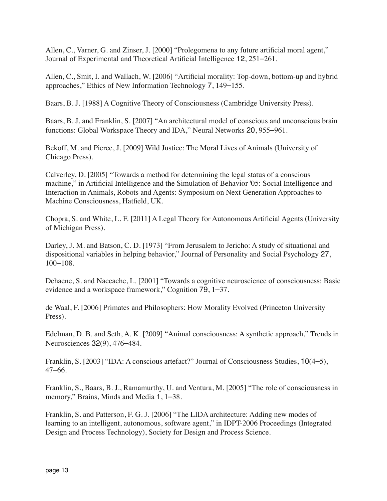Allen, C., Varner, G. and Zinser, J. [2000] "Prolegomena to any future artificial moral agent," Journal of Experimental and Theoretical Artificial Intelligence 12, 251–261.

Allen, C., Smit, I. and Wallach, W. [2006] "Artificial morality: Top-down, bottom-up and hybrid approaches," Ethics of New Information Technology 7, 149–155.

Baars, B. J. [1988] A Cognitive Theory of Consciousness (Cambridge University Press).

Baars, B. J. and Franklin, S. [2007] "An architectural model of conscious and unconscious brain functions: Global Workspace Theory and IDA," Neural Networks 20, 955–961.

Bekoff, M. and Pierce, J. [2009] Wild Justice: The Moral Lives of Animals (University of Chicago Press).

Calverley, D. [2005] "Towards a method for determining the legal status of a conscious machine," in Artificial Intelligence and the Simulation of Behavior '05: Social Intelligence and Interaction in Animals, Robots and Agents: Symposium on Next Generation Approaches to Machine Consciousness, Hatfield, UK.

Chopra, S. and White, L. F. [2011] A Legal Theory for Autonomous Artificial Agents (University of Michigan Press).

Darley, J. M. and Batson, C. D. [1973] "From Jerusalem to Jericho: A study of situational and dispositional variables in helping behavior," Journal of Personality and Social Psychology 27, 100–108.

Dehaene, S. and Naccache, L. [2001] "Towards a cognitive neuroscience of consciousness: Basic evidence and a workspace framework," Cognition 79, 1–37.

de Waal, F. [2006] Primates and Philosophers: How Morality Evolved (Princeton University Press).

Edelman, D. B. and Seth, A. K. [2009] "Animal consciousness: A synthetic approach," Trends in Neurosciences 32(9), 476–484.

Franklin, S. [2003] "IDA: A conscious artefact?" Journal of Consciousness Studies, 10(4–5), 47–66.

Franklin, S., Baars, B. J., Ramamurthy, U. and Ventura, M. [2005] "The role of consciousness in memory," Brains, Minds and Media 1, 1–38.

Franklin, S. and Patterson, F. G. J. [2006] "The LIDA architecture: Adding new modes of learning to an intelligent, autonomous, software agent," in IDPT-2006 Proceedings (Integrated Design and Process Technology), Society for Design and Process Science.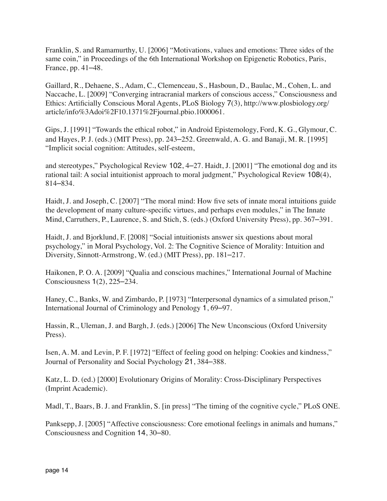Franklin, S. and Ramamurthy, U. [2006] "Motivations, values and emotions: Three sides of the same coin," in Proceedings of the 6th International Workshop on Epigenetic Robotics, Paris, France, pp. 41–48.

Gaillard, R., Dehaene, S., Adam, C., Clemenceau, S., Hasboun, D., Baulac, M., Cohen, L. and Naccache, L. [2009] "Converging intracranial markers of conscious access," Consciousness and Ethics: Artificially Conscious Moral Agents, PLoS Biology 7(3), http://www.plosbiology.org/ article/info%3Adoi%2F10.1371%2Fjournal.pbio.1000061.

Gips, J. [1991] "Towards the ethical robot," in Android Epistemology, Ford, K. G., Glymour, C. and Hayes, P. J. (eds.) (MIT Press), pp. 243–252. Greenwald, A. G. and Banaji, M. R. [1995] "Implicit social cognition: Attitudes, self-esteem,

and stereotypes," Psychological Review 102, 4–27. Haidt, J. [2001] "The emotional dog and its rational tail: A social intuitionist approach to moral judgment," Psychological Review 108(4), 814–834.

Haidt, J. and Joseph, C. [2007] "The moral mind: How five sets of innate moral intuitions guide the development of many culture-specific virtues, and perhaps even modules," in The Innate Mind, Carruthers, P., Laurence, S. and Stich, S. (eds.) (Oxford University Press), pp. 367–391.

Haidt, J. and Bjorklund, F. [2008] "Social intuitionists answer six questions about moral psychology," in Moral Psychology, Vol. 2: The Cognitive Science of Morality: Intuition and Diversity, Sinnott-Armstrong, W. (ed.) (MIT Press), pp. 181–217.

Haikonen, P. O. A. [2009] "Qualia and conscious machines," International Journal of Machine Consciousness 1(2), 225–234.

Haney, C., Banks, W. and Zimbardo, P. [1973] "Interpersonal dynamics of a simulated prison," International Journal of Criminology and Penology 1, 69–97.

Hassin, R., Uleman, J. and Bargh, J. (eds.) [2006] The New Unconscious (Oxford University Press).

Isen, A. M. and Levin, P. F. [1972] "Effect of feeling good on helping: Cookies and kindness," Journal of Personality and Social Psychology 21, 384–388.

Katz, L. D. (ed.) [2000] Evolutionary Origins of Morality: Cross-Disciplinary Perspectives (Imprint Academic).

Madl, T., Baars, B. J. and Franklin, S. [in press] "The timing of the cognitive cycle," PLoS ONE.

Panksepp, J. [2005] "Affective consciousness: Core emotional feelings in animals and humans," Consciousness and Cognition 14, 30–80.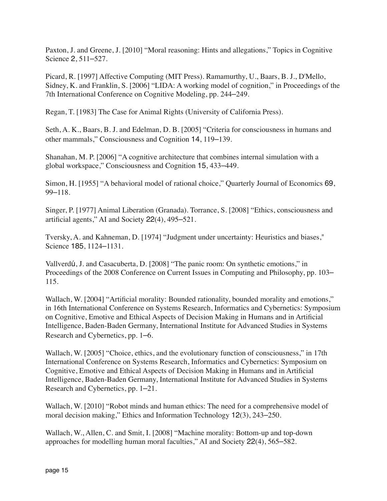Paxton, J. and Greene, J. [2010] "Moral reasoning: Hints and allegations," Topics in Cognitive Science 2, 511–527.

Picard, R. [1997] Affective Computing (MIT Press). Ramamurthy, U., Baars, B. J., D'Mello, Sidney, K. and Franklin, S. [2006] "LIDA: A working model of cognition," in Proceedings of the 7th International Conference on Cognitive Modeling, pp. 244–249.

Regan, T. [1983] The Case for Animal Rights (University of California Press).

Seth, A. K., Baars, B. J. and Edelman, D. B. [2005] "Criteria for consciousness in humans and other mammals," Consciousness and Cognition 14, 119–139.

Shanahan, M. P. [2006] "A cognitive architecture that combines internal simulation with a global workspace," Consciousness and Cognition 15, 433–449.

Simon, H. [1955] "A behavioral model of rational choice," Quarterly Journal of Economics 69, 99–118.

Singer, P. [1977] Animal Liberation (Granada). Torrance, S. [2008] "Ethics, consciousness and artificial agents," AI and Society 22(4), 495–521.

Tversky, A. and Kahneman, D. [1974] "Judgment under uncertainty: Heuristics and biases," Science 185, 1124–1131.

Vallverdú, J. and Casacuberta, D. [2008] "The panic room: On synthetic emotions," in Proceedings of the 2008 Conference on Current Issues in Computing and Philosophy, pp. 103– 115.

Wallach, W. [2004] "Artificial morality: Bounded rationality, bounded morality and emotions," in 16th International Conference on Systems Research, Informatics and Cybernetics: Symposium on Cognitive, Emotive and Ethical Aspects of Decision Making in Humans and in Artificial Intelligence, Baden-Baden Germany, International Institute for Advanced Studies in Systems Research and Cybernetics, pp. 1–6.

Wallach, W. [2005] "Choice, ethics, and the evolutionary function of consciousness," in 17th International Conference on Systems Research, Informatics and Cybernetics: Symposium on Cognitive, Emotive and Ethical Aspects of Decision Making in Humans and in Artificial Intelligence, Baden-Baden Germany, International Institute for Advanced Studies in Systems Research and Cybernetics, pp. 1–21.

Wallach, W. [2010] "Robot minds and human ethics: The need for a comprehensive model of moral decision making," Ethics and Information Technology 12(3), 243–250.

Wallach, W., Allen, C. and Smit, I. [2008] "Machine morality: Bottom-up and top-down approaches for modelling human moral faculties," AI and Society 22(4), 565–582.